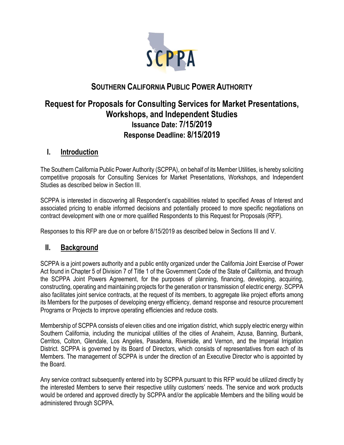

# **SOUTHERN CALIFORNIA PUBLIC POWER AUTHORITY**

# **Request for Proposals for Consulting Services for Market Presentations, Workshops, and Independent Studies Issuance Date: 7/15/2019 Response Deadline: 8/15/2019**

## **I. Introduction**

The Southern California Public Power Authority (SCPPA), on behalf of its Member Utilities, is hereby soliciting competitive proposals for Consulting Services for Market Presentations, Workshops, and Independent Studies as described below in Section III.

SCPPA is interested in discovering all Respondent's capabilities related to specified Areas of Interest and associated pricing to enable informed decisions and potentially proceed to more specific negotiations on contract development with one or more qualified Respondents to this Request for Proposals (RFP).

Responses to this RFP are due on or before 8/15/2019 as described below in Sections III and V.

## **II. Background**

SCPPA is a joint powers authority and a public entity organized under the California Joint Exercise of Power Act found in Chapter 5 of Division 7 of Title 1 of the Government Code of the State of California, and through the SCPPA Joint Powers Agreement, for the purposes of planning, financing, developing, acquiring, constructing, operating and maintaining projects for the generation or transmission of electric energy. SCPPA also facilitates joint service contracts, at the request of its members, to aggregate like project efforts among its Members for the purposes of developing energy efficiency, demand response and resource procurement Programs or Projects to improve operating efficiencies and reduce costs.

Membership of SCPPA consists of eleven cities and one irrigation district, which supply electric energy within Southern California, including the municipal utilities of the cities of Anaheim, Azusa, Banning, Burbank, Cerritos, Colton, Glendale, Los Angeles, Pasadena, Riverside, and Vernon, and the Imperial Irrigation District. SCPPA is governed by its Board of Directors, which consists of representatives from each of its Members. The management of SCPPA is under the direction of an Executive Director who is appointed by the Board.

Any service contract subsequently entered into by SCPPA pursuant to this RFP would be utilized directly by the interested Members to serve their respective utility customers' needs. The service and work products would be ordered and approved directly by SCPPA and/or the applicable Members and the billing would be administered through SCPPA.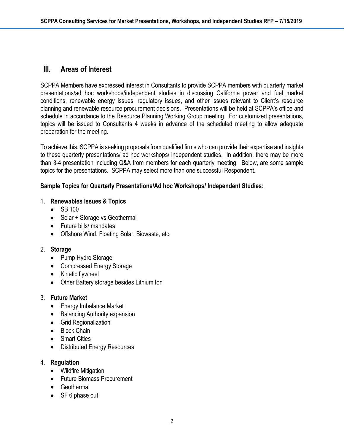## **III. Areas of Interest**

SCPPA Members have expressed interest in Consultants to provide SCPPA members with quarterly market presentations/ad hoc workshops/independent studies in discussing California power and fuel market conditions, renewable energy issues, regulatory issues, and other issues relevant to Client's resource planning and renewable resource procurement decisions. Presentations will be held at SCPPA's office and schedule in accordance to the Resource Planning Working Group meeting. For customized presentations, topics will be issued to Consultants 4 weeks in advance of the scheduled meeting to allow adequate preparation for the meeting.

To achieve this, SCPPA is seeking proposals from qualified firms who can provide their expertise and insights to these quarterly presentations/ ad hoc workshops/ independent studies. In addition, there may be more than 3-4 presentation including Q&A from members for each quarterly meeting. Below, are some sample topics for the presentations. SCPPA may select more than one successful Respondent.

#### **Sample Topics for Quarterly Presentations/Ad hoc Workshops/ Independent Studies:**

#### 1. **Renewables Issues & Topics**

- SB 100
- Solar + Storage vs Geothermal
- Future bills/ mandates
- Offshore Wind, Floating Solar, Biowaste, etc.

#### 2. **Storage**

- Pump Hydro Storage
- Compressed Energy Storage
- Kinetic flywheel
- Other Battery storage besides Lithium Ion

#### 3. **Future Market**

- Energy Imbalance Market
- Balancing Authority expansion
- Grid Regionalization
- Block Chain
- Smart Cities
- Distributed Energy Resources

#### 4. **Regulation**

- Wildfire Mitigation
- Future Biomass Procurement
- Geothermal
- SF 6 phase out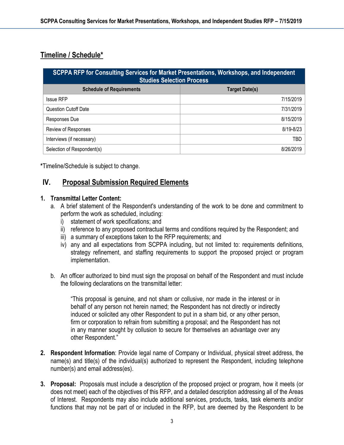## **Timeline / Schedule\***

| SCPPA RFP for Consulting Services for Market Presentations, Workshops, and Independent<br><b>Studies Selection Process</b> |                       |
|----------------------------------------------------------------------------------------------------------------------------|-----------------------|
| <b>Schedule of Requirements</b>                                                                                            | <b>Target Date(s)</b> |
| <b>Issue RFP</b>                                                                                                           | 7/15/2019             |
| <b>Question Cutoff Date</b>                                                                                                | 7/31/2019             |
| Responses Due                                                                                                              | 8/15/2019             |
| Review of Responses                                                                                                        | 8/19-8/23             |
| Interviews (if necessary)                                                                                                  | TBD                   |
| Selection of Respondent(s)                                                                                                 | 8/26/2019             |

**\***Timeline/Schedule is subject to change.

## **IV. Proposal Submission Required Elements**

#### **1. Transmittal Letter Content:**

- a. A brief statement of the Respondent's understanding of the work to be done and commitment to perform the work as scheduled, including:
	- i) statement of work specifications; and
	- ii) reference to any proposed contractual terms and conditions required by the Respondent; and
	- iii) a summary of exceptions taken to the RFP requirements; and
	- iv) any and all expectations from SCPPA including, but not limited to: requirements definitions, strategy refinement, and staffing requirements to support the proposed project or program implementation.
- b. An officer authorized to bind must sign the proposal on behalf of the Respondent and must include the following declarations on the transmittal letter:

"This proposal is genuine, and not sham or collusive, nor made in the interest or in behalf of any person not herein named; the Respondent has not directly or indirectly induced or solicited any other Respondent to put in a sham bid, or any other person, firm or corporation to refrain from submitting a proposal; and the Respondent has not in any manner sought by collusion to secure for themselves an advantage over any other Respondent."

- **2. Respondent Information**: Provide legal name of Company or Individual, physical street address, the name(s) and title(s) of the individual(s) authorized to represent the Respondent, including telephone number(s) and email address(es).
- **3. Proposal:** Proposals must include a description of the proposed project or program, how it meets (or does not meet) each of the objectives of this RFP, and a detailed description addressing all of the Areas of Interest. Respondents may also include additional services, products, tasks, task elements and/or functions that may not be part of or included in the RFP, but are deemed by the Respondent to be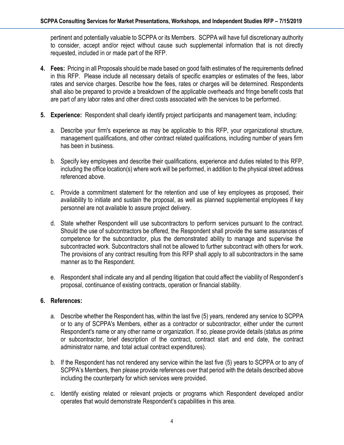pertinent and potentially valuable to SCPPA or its Members. SCPPA will have full discretionary authority to consider, accept and/or reject without cause such supplemental information that is not directly requested, included in or made part of the RFP.

- **4. Fees:** Pricing in all Proposals should be made based on good faith estimates of the requirements defined in this RFP. Please include all necessary details of specific examples or estimates of the fees, labor rates and service charges. Describe how the fees, rates or charges will be determined. Respondents shall also be prepared to provide a breakdown of the applicable overheads and fringe benefit costs that are part of any labor rates and other direct costs associated with the services to be performed.
- **5. Experience:** Respondent shall clearly identify project participants and management team, including:
	- a. Describe your firm's experience as may be applicable to this RFP, your organizational structure, management qualifications, and other contract related qualifications, including number of years firm has been in business.
	- b. Specify key employees and describe their qualifications, experience and duties related to this RFP, including the office location(s) where work will be performed, in addition to the physical street address referenced above.
	- c. Provide a commitment statement for the retention and use of key employees as proposed, their availability to initiate and sustain the proposal, as well as planned supplemental employees if key personnel are not available to assure project delivery.
	- d. State whether Respondent will use subcontractors to perform services pursuant to the contract. Should the use of subcontractors be offered, the Respondent shall provide the same assurances of competence for the subcontractor, plus the demonstrated ability to manage and supervise the subcontracted work. Subcontractors shall not be allowed to further subcontract with others for work. The provisions of any contract resulting from this RFP shall apply to all subcontractors in the same manner as to the Respondent.
	- e. Respondent shall indicate any and all pending litigation that could affect the viability of Respondent's proposal, continuance of existing contracts, operation or financial stability.

#### **6. References:**

- a. Describe whether the Respondent has, within the last five (5) years, rendered any service to SCPPA or to any of SCPPA's Members, either as a contractor or subcontractor, either under the current Respondent's name or any other name or organization. If so, please provide details (status as prime or subcontractor, brief description of the contract, contract start and end date, the contract administrator name, and total actual contract expenditures).
- b. If the Respondent has not rendered any service within the last five (5) years to SCPPA or to any of SCPPA's Members, then please provide references over that period with the details described above including the counterparty for which services were provided.
- c. Identify existing related or relevant projects or programs which Respondent developed and/or operates that would demonstrate Respondent's capabilities in this area.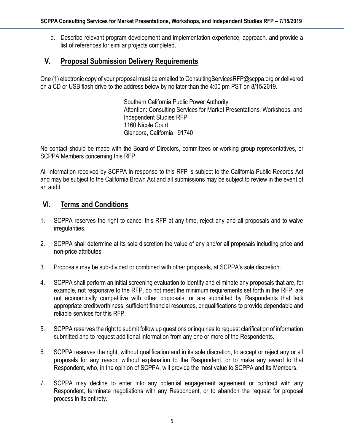d. Describe relevant program development and implementation experience, approach, and provide a list of references for similar projects completed.

### **V. Proposal Submission Delivery Requirements**

One (1) electronic copy of your proposal must be emailed to ConsultingServicesRFP@scppa.org or delivered on a CD or USB flash drive to the address below by no later than the 4:00 pm PST on 8/15/2019.

> Southern California Public Power Authority Attention: Consulting Services for Market Presentations, Workshops, and Independent Studies RFP 1160 Nicole Court Glendora, California 91740

No contact should be made with the Board of Directors, committees or working group representatives, or SCPPA Members concerning this RFP.

All information received by SCPPA in response to this RFP is subject to the California Public Records Act and may be subject to the California Brown Act and all submissions may be subject to review in the event of an audit.

### **VI. Terms and Conditions**

- 1. SCPPA reserves the right to cancel this RFP at any time, reject any and all proposals and to waive irregularities.
- 2. SCPPA shall determine at its sole discretion the value of any and/or all proposals including price and non-price attributes.
- 3. Proposals may be sub-divided or combined with other proposals, at SCPPA's sole discretion.
- 4. SCPPA shall perform an initial screening evaluation to identify and eliminate any proposals that are, for example, not responsive to the RFP, do not meet the minimum requirements set forth in the RFP, are not economically competitive with other proposals, or are submitted by Respondents that lack appropriate creditworthiness, sufficient financial resources, or qualifications to provide dependable and reliable services for this RFP.
- 5. SCPPA reserves the right to submit follow up questions or inquiries to request clarification of information submitted and to request additional information from any one or more of the Respondents.
- 6. SCPPA reserves the right, without qualification and in its sole discretion, to accept or reject any or all proposals for any reason without explanation to the Respondent, or to make any award to that Respondent, who, in the opinion of SCPPA, will provide the most value to SCPPA and its Members.
- 7. SCPPA may decline to enter into any potential engagement agreement or contract with any Respondent, terminate negotiations with any Respondent, or to abandon the request for proposal process in its entirety.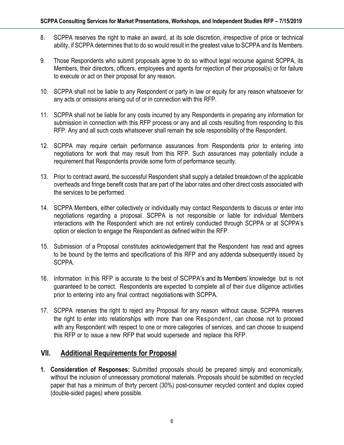- 8. SCPPA reserves the right to make an award, at its sole discretion, irrespective of price or technical ability, if SCPPA determines that to do so would result in the greatest value to SCPPA and its Members.
- 9. Those Respondents who submit proposals agree to do so without legal recourse against SCPPA, its Members, their directors, officers, employees and agents for rejection of their proposal(s) or for failure to execute or act on their proposal for any reason.
- 10. SCPPA shall not be liable to any Respondent or party in law or equity for any reason whatsoever for any acts or omissions arising out of or in connection with this RFP.
- 11. SCPPA shall not be liable for any costs incurred by any Respondents in preparing any information for submission in connection with this RFP process or any and all costs resulting from responding to this RFP. Any and all such costs whatsoever shall remain the sole responsibility of the Respondent.
- 12. SCPPA may require certain performance assurances from Respondents prior to entering into negotiations for work that may result from this RFP. Such assurances may potentially include a requirement that Respondents provide some form of performance security.
- 13. Prior to contract award, the successful Respondent shall supply a detailed breakdown of the applicable overheads and fringe benefit costs that are part of the labor rates and other direct costs associated with the services to be performed.
- 14. SCPPA Members, either collectively or individually may contact Respondents to discuss or enter into negotiations regarding a proposal. SCPPA is not responsible or liable for individual Members interactions with the Respondent which are not entirely conducted through SCPPA or at SCPPA's option or election to engage the Respondent as defined within the RFP.
- 15. Submission of a Proposal constitutes acknowledgement that the Respondent has read and agrees to be bound by the terms and specifications of this RFP and any addenda subsequently issued by SCPPA.
- 16. Information in this RFP is accurate to the best of SCPPA's and its Members' knowledge but is not guaranteed to be correct. Respondents are expected to complete all of their due diligence activities prior to entering into any final contract negotiations with SCPPA.
- 17. SCPPA reserves the right to reject any Proposal for any reason without cause. SCPPA reserves the right to enter into relationships with more than one Respondent, can choose not to proceed with any Respondent with respect to one or more categories of services, and can choose to suspend this RFP or to issue a new RFP that would supersede and replace this RFP.

## **VII. Additional Requirements for Proposal**

**1. Consideration of Responses:** Submitted proposals should be prepared simply and economically, without the inclusion of unnecessary promotional materials. Proposals should be submitted on recycled paper that has a minimum of thirty percent (30%) post-consumer recycled content and duplex copied (double-sided pages) where possible.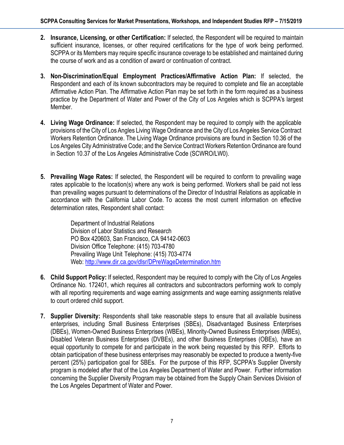- **2. Insurance, Licensing, or other Certification:** If selected, the Respondent will be required to maintain sufficient insurance, licenses, or other required certifications for the type of work being performed. SCPPA or its Members may require specific insurance coverage to be established and maintained during the course of work and as a condition of award or continuation of contract.
- **3. Non-Discrimination/Equal Employment Practices/Affirmative Action Plan:** If selected, the Respondent and each of its known subcontractors may be required to complete and file an acceptable Affirmative Action Plan. The Affirmative Action Plan may be set forth in the form required as a business practice by the Department of Water and Power of the City of Los Angeles which is SCPPA's largest Member.
- **4. Living Wage Ordinance:** If selected, the Respondent may be required to comply with the applicable provisions of the City of Los Angles Living Wage Ordinance and the City of Los Angeles Service Contract Workers Retention Ordinance. The Living Wage Ordinance provisions are found in Section 10.36 of the Los Angeles City Administrative Code; and the Service Contract Workers Retention Ordinance are found in Section 10.37 of the Los Angeles Administrative Code (SCWRO/LW0).
- **5. Prevailing Wage Rates:** If selected, the Respondent will be required to conform to prevailing wage rates applicable to the location(s) where any work is being performed. Workers shall be paid not less than prevailing wages pursuant to determinations of the Director of Industrial Relations as applicable in accordance with the California Labor Code. To access the most current information on effective determination rates, Respondent shall contact:

Department of Industrial Relations Division of Labor Statistics and Research PO Box 420603, San Francisco, CA 94142-0603 Division Office Telephone: (415) 703-4780 Prevailing Wage Unit Telephone: (415) 703-4774 Web[: http://www.dir.ca.gov/dlsr/DPreWageDetermination.htm](http://www.dir.ca.gov/dlsr/DPreWageDetermination.htm)

- **6. Child Support Policy:** If selected, Respondent may be required to comply with the City of Los Angeles Ordinance No. 172401, which requires all contractors and subcontractors performing work to comply with all reporting requirements and wage earning assignments and wage earning assignments relative to court ordered child support.
- **7. Supplier Diversity:** Respondents shall take reasonable steps to ensure that all available business enterprises, including Small Business Enterprises (SBEs), Disadvantaged Business Enterprises (DBEs), Women-Owned Business Enterprises (WBEs), Minority-Owned Business Enterprises (MBEs), Disabled Veteran Business Enterprises (DVBEs), and other Business Enterprises (OBEs), have an equal opportunity to compete for and participate in the work being requested by this RFP. Efforts to obtain participation of these business enterprises may reasonably be expected to produce a twenty-five percent (25%) participation goal for SBEs. For the purpose of this RFP, SCPPA's Supplier Diversity program is modeled after that of the Los Angeles Department of Water and Power. Further information concerning the Supplier Diversity Program may be obtained from the Supply Chain Services Division of the Los Angeles Department of Water and Power.